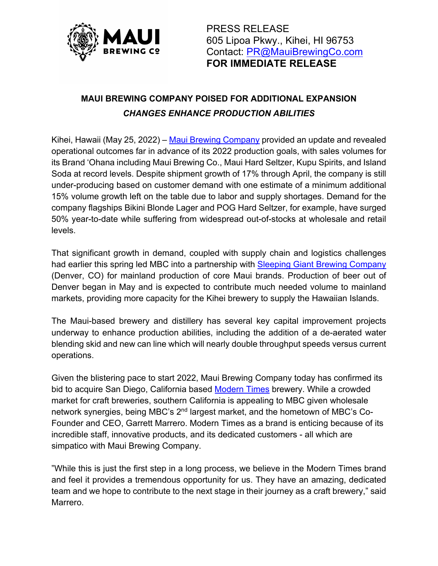

PRESS RELEASE 605 Lipoa Pkwy., Kihei, HI 96753 Contact: PR@MauiBrewingCo.com **FOR IMMEDIATE RELEASE**

## **MAUI BREWING COMPANY POISED FOR ADDITIONAL EXPANSION** *CHANGES ENHANCE PRODUCTION ABILITIES*

Kihei, Hawaii (May 25, 2022) – Maui Brewing Company provided an update and revealed operational outcomes far in advance of its 2022 production goals, with sales volumes for its Brand 'Ohana including Maui Brewing Co., Maui Hard Seltzer, Kupu Spirits, and Island Soda at record levels. Despite shipment growth of 17% through April, the company is still under-producing based on customer demand with one estimate of a minimum additional 15% volume growth left on the table due to labor and supply shortages. Demand for the company flagships Bikini Blonde Lager and POG Hard Seltzer, for example, have surged 50% year-to-date while suffering from widespread out-of-stocks at wholesale and retail levels.

That significant growth in demand, coupled with supply chain and logistics challenges had earlier this spring led MBC into a partnership with Sleeping Giant Brewing Company (Denver, CO) for mainland production of core Maui brands. Production of beer out of Denver began in May and is expected to contribute much needed volume to mainland markets, providing more capacity for the Kihei brewery to supply the Hawaiian Islands.

The Maui-based brewery and distillery has several key capital improvement projects underway to enhance production abilities, including the addition of a de-aerated water blending skid and new can line which will nearly double throughput speeds versus current operations.

Given the blistering pace to start 2022, Maui Brewing Company today has confirmed its bid to acquire San Diego, California based Modern Times brewery. While a crowded market for craft breweries, southern California is appealing to MBC given wholesale network synergies, being MBC's 2<sup>nd</sup> largest market, and the hometown of MBC's Co-Founder and CEO, Garrett Marrero. Modern Times as a brand is enticing because of its incredible staff, innovative products, and its dedicated customers - all which are simpatico with Maui Brewing Company.

"While this is just the first step in a long process, we believe in the Modern Times brand and feel it provides a tremendous opportunity for us. They have an amazing, dedicated team and we hope to contribute to the next stage in their journey as a craft brewery," said Marrero.